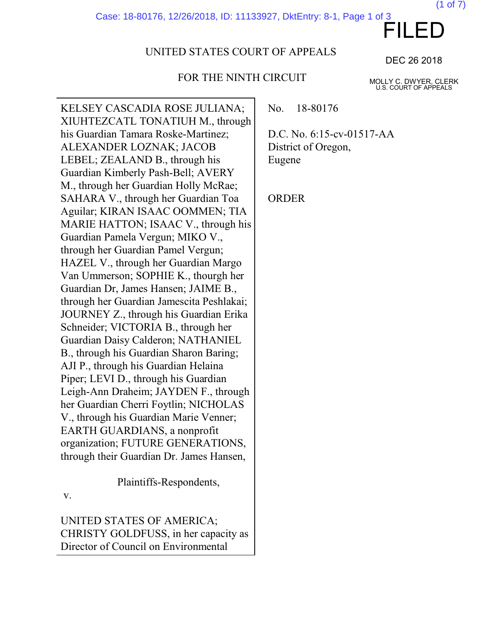Case: 18-80176, 12/26/2018, ID: 11133927, DktEntry: 8-1, Page 1 of 3

# UNITED STATES COURT OF APPEALS

# FOR THE NINTH CIRCUIT

DEC 26 2018

MOLLY C. DWYER, CLERK U.S. COURT OF APPEALS

KELSEY CASCADIA ROSE JULIANA; XIUHTEZCATL TONATIUH M., through his Guardian Tamara Roske-Martinez; ALEXANDER LOZNAK; JACOB LEBEL; ZEALAND B., through his Guardian Kimberly Pash-Bell; AVERY M., through her Guardian Holly McRae; SAHARA V., through her Guardian Toa Aguilar; KIRAN ISAAC OOMMEN; TIA MARIE HATTON; ISAAC V., through his Guardian Pamela Vergun; MIKO V., through her Guardian Pamel Vergun; HAZEL V., through her Guardian Margo Van Ummerson; SOPHIE K., thourgh her Guardian Dr, James Hansen; JAIME B., through her Guardian Jamescita Peshlakai; JOURNEY Z., through his Guardian Erika Schneider; VICTORIA B., through her Guardian Daisy Calderon; NATHANIEL B., through his Guardian Sharon Baring; AJI P., through his Guardian Helaina Piper; LEVI D., through his Guardian Leigh-Ann Draheim; JAYDEN F., through her Guardian Cherri Foytlin; NICHOLAS V., through his Guardian Marie Venner; EARTH GUARDIANS, a nonprofit organization; FUTURE GENERATIONS, through their Guardian Dr. James Hansen,

Plaintiffs-Respondents,

v.

UNITED STATES OF AMERICA; CHRISTY GOLDFUSS, in her capacity as Director of Council on Environmental

No. 18-80176

D.C. No. 6:15-cv-01517-AA District of Oregon, Eugene

ORDER

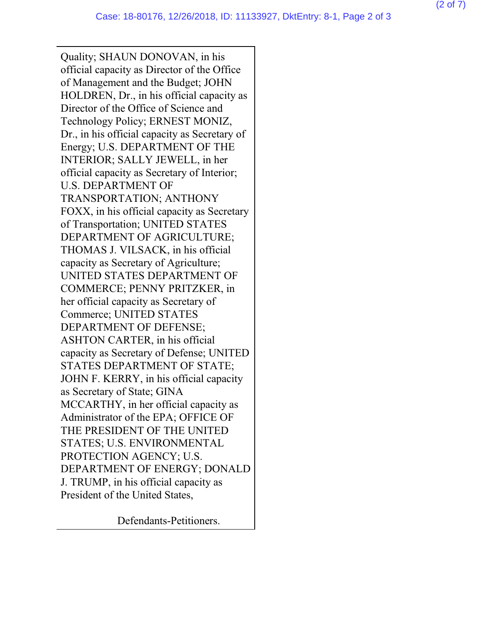Quality; SHAUN DONOVAN, in his official capacity as Director of the Office of Management and the Budget; JOHN HOLDREN, Dr., in his official capacity as Director of the Office of Science and Technology Policy; ERNEST MONIZ, Dr., in his official capacity as Secretary of Energy; U.S. DEPARTMENT OF THE INTERIOR; SALLY JEWELL, in her official capacity as Secretary of Interior; U.S. DEPARTMENT OF TRANSPORTATION; ANTHONY FOXX, in his official capacity as Secretary of Transportation; UNITED STATES DEPARTMENT OF AGRICULTURE; THOMAS J. VILSACK, in his official capacity as Secretary of Agriculture; UNITED STATES DEPARTMENT OF COMMERCE; PENNY PRITZKER, in her official capacity as Secretary of Commerce; UNITED STATES DEPARTMENT OF DEFENSE; ASHTON CARTER, in his official capacity as Secretary of Defense; UNITED STATES DEPARTMENT OF STATE; JOHN F. KERRY, in his official capacity as Secretary of State; GINA MCCARTHY, in her official capacity as Administrator of the EPA; OFFICE OF THE PRESIDENT OF THE UNITED STATES; U.S. ENVIRONMENTAL PROTECTION AGENCY; U.S. DEPARTMENT OF ENERGY; DONALD J. TRUMP, in his official capacity as President of the United States,

Defendants-Petitioners.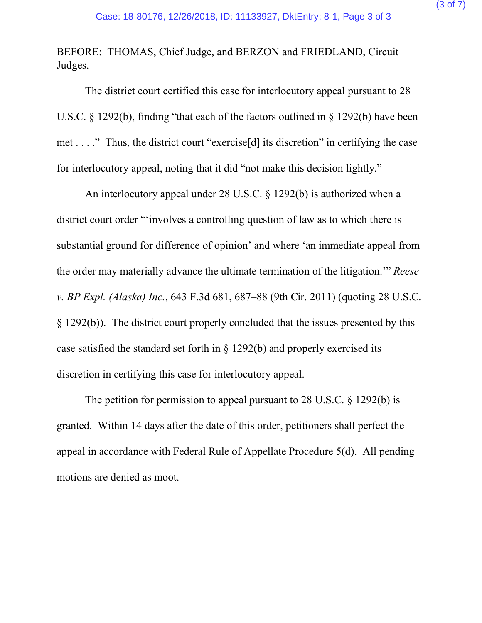BEFORE: THOMAS, Chief Judge, and BERZON and FRIEDLAND, Circuit Judges.

The district court certified this case for interlocutory appeal pursuant to 28 U.S.C. § 1292(b), finding "that each of the factors outlined in § 1292(b) have been met . . . ." Thus, the district court "exercise[d] its discretion" in certifying the case for interlocutory appeal, noting that it did "not make this decision lightly."

An interlocutory appeal under 28 U.S.C. § 1292(b) is authorized when a district court order "'involves a controlling question of law as to which there is substantial ground for difference of opinion' and where 'an immediate appeal from the order may materially advance the ultimate termination of the litigation.'" *Reese v. BP Expl. (Alaska) Inc.*, 643 F.3d 681, 687–88 (9th Cir. 2011) (quoting 28 U.S.C. § 1292(b)). The district court properly concluded that the issues presented by this case satisfied the standard set forth in § 1292(b) and properly exercised its discretion in certifying this case for interlocutory appeal.

The petition for permission to appeal pursuant to 28 U.S.C. § 1292(b) is granted. Within 14 days after the date of this order, petitioners shall perfect the appeal in accordance with Federal Rule of Appellate Procedure 5(d). All pending motions are denied as moot.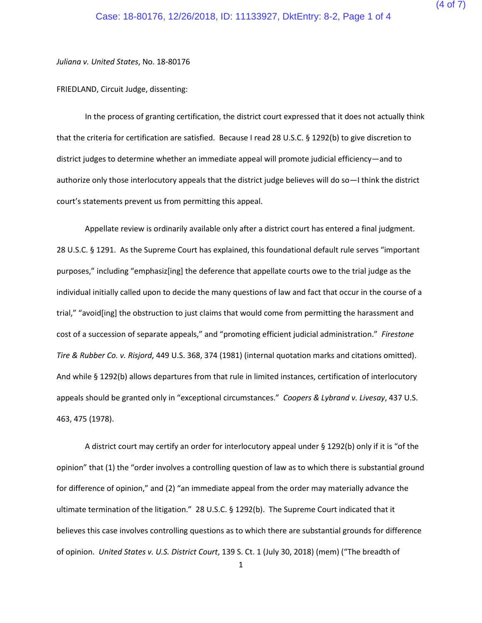*Juliana v. United States*, No. 18-80176

FRIEDLAND, Circuit Judge, dissenting:

In the process of granting certification, the district court expressed that it does not actually think that the criteria for certification are satisfied. Because I read 28 U.S.C. § 1292(b) to give discretion to district judges to determine whether an immediate appeal will promote judicial efficiency—and to authorize only those interlocutory appeals that the district judge believes will do so—I think the district court's statements prevent us from permitting this appeal.

Appellate review is ordinarily available only after a district court has entered a final judgment. 28 U.S.C. § 1291. As the Supreme Court has explained, this foundational default rule serves "important purposes," including "emphasiz[ing] the deference that appellate courts owe to the trial judge as the individual initially called upon to decide the many questions of law and fact that occur in the course of a trial," "avoid[ing] the obstruction to just claims that would come from permitting the harassment and cost of a succession of separate appeals," and "promoting efficient judicial administration." *Firestone Tire & Rubber Co. v. Risjord*, 449 U.S. 368, 374 (1981) (internal quotation marks and citations omitted). And while § 1292(b) allows departures from that rule in limited instances, certification of interlocutory appeals should be granted only in "exceptional circumstances." *Coopers & Lybrand v. Livesay*, 437 U.S. 463, 475 (1978).

A district court may certify an order for interlocutory appeal under § 1292(b) only if it is "of the opinion" that (1) the "order involves a controlling question of law as to which there is substantial ground for difference of opinion," and (2) "an immediate appeal from the order may materially advance the ultimate termination of the litigation." 28 U.S.C. § 1292(b). The Supreme Court indicated that it believes this case involves controlling questions as to which there are substantial grounds for difference of opinion. *United States v. U.S. District Court*, 139 S. Ct. 1 (July 30, 2018) (mem) ("The breadth of

1

(4 of 7)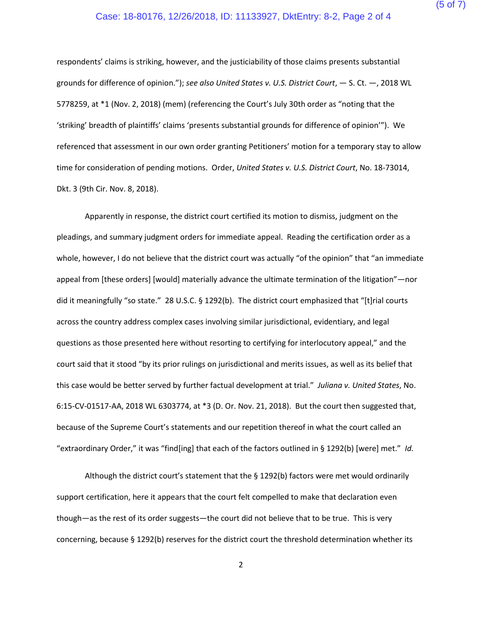## (5 of 7)

#### Case: 18-80176, 12/26/2018, ID: 11133927, DktEntry: 8-2, Page 2 of 4

respondents' claims is striking, however, and the justiciability of those claims presents substantial grounds for difference of opinion."); *see also United States v. U.S. District Court*, — S. Ct. —, 2018 WL 5778259, at \*1 (Nov. 2, 2018) (mem) (referencing the Court's July 30th order as "noting that the 'striking' breadth of plaintiffs' claims 'presents substantial grounds for difference of opinion'"). We referenced that assessment in our own order granting Petitioners' motion for a temporary stay to allow time for consideration of pending motions. Order, *United States v. U.S. District Court*, No. 18-73014, Dkt. 3 (9th Cir. Nov. 8, 2018).

Apparently in response, the district court certified its motion to dismiss, judgment on the pleadings, and summary judgment orders for immediate appeal. Reading the certification order as a whole, however, I do not believe that the district court was actually "of the opinion" that "an immediate appeal from [these orders] [would] materially advance the ultimate termination of the litigation"—nor did it meaningfully "so state." 28 U.S.C. § 1292(b). The district court emphasized that "[t]rial courts across the country address complex cases involving similar jurisdictional, evidentiary, and legal questions as those presented here without resorting to certifying for interlocutory appeal," and the court said that it stood "by its prior rulings on jurisdictional and merits issues, as well as its belief that this case would be better served by further factual development at trial." *Juliana v. United States*, No. 6:15-CV-01517-AA, 2018 WL 6303774, at \*3 (D. Or. Nov. 21, 2018). But the court then suggested that, because of the Supreme Court's statements and our repetition thereof in what the court called an "extraordinary Order," it was "find[ing] that each of the factors outlined in § 1292(b) [were] met." *Id.*

Although the district court's statement that the § 1292(b) factors were met would ordinarily support certification, here it appears that the court felt compelled to make that declaration even though—as the rest of its order suggests—the court did not believe that to be true. This is very concerning, because § 1292(b) reserves for the district court the threshold determination whether its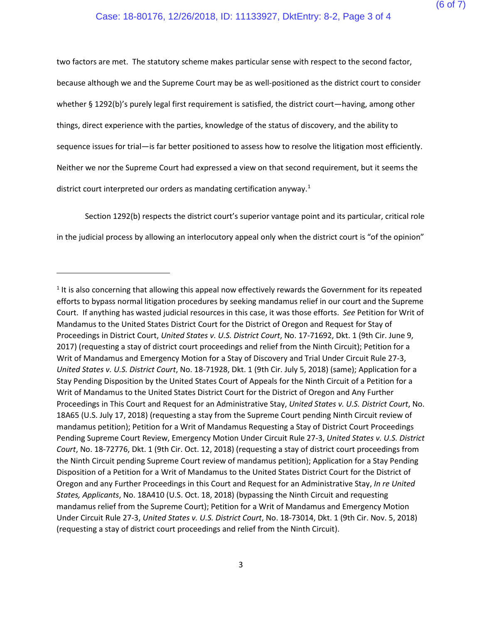two factors are met. The statutory scheme makes particular sense with respect to the second factor, because although we and the Supreme Court may be as well-positioned as the district court to consider whether § 1292(b)'s purely legal first requirement is satisfied, the district court—having, among other things, direct experience with the parties, knowledge of the status of discovery, and the ability to sequence issues for trial—is far better positioned to assess how to resolve the litigation most efficiently. Neither we nor the Supreme Court had expressed a view on that second requirement, but it seems the district court interpreted our orders as mandating certification anyway.<sup>[1](#page-5-0)</sup>

Section 1292(b) respects the district court's superior vantage point and its particular, critical role in the judicial process by allowing an interlocutory appeal only when the district court is "of the opinion"

 $\overline{a}$ 

<span id="page-5-0"></span><sup>&</sup>lt;sup>1</sup> It is also concerning that allowing this appeal now effectively rewards the Government for its repeated efforts to bypass normal litigation procedures by seeking mandamus relief in our court and the Supreme Court. If anything has wasted judicial resources in this case, it was those efforts. *See* Petition for Writ of Mandamus to the United States District Court for the District of Oregon and Request for Stay of Proceedings in District Court, *United States v. U.S. District Court*, No. 17-71692, Dkt. 1 (9th Cir. June 9, 2017) (requesting a stay of district court proceedings and relief from the Ninth Circuit); Petition for a Writ of Mandamus and Emergency Motion for a Stay of Discovery and Trial Under Circuit Rule 27-3, *United States v. U.S. District Court*, No. 18-71928, Dkt. 1 (9th Cir. July 5, 2018) (same); Application for a Stay Pending Disposition by the United States Court of Appeals for the Ninth Circuit of a Petition for a Writ of Mandamus to the United States District Court for the District of Oregon and Any Further Proceedings in This Court and Request for an Administrative Stay, *United States v. U.S. District Court*, No. 18A65 (U.S. July 17, 2018) (requesting a stay from the Supreme Court pending Ninth Circuit review of mandamus petition); Petition for a Writ of Mandamus Requesting a Stay of District Court Proceedings Pending Supreme Court Review, Emergency Motion Under Circuit Rule 27-3, *United States v. U.S. District Court*, No. 18-72776, Dkt. 1 (9th Cir. Oct. 12, 2018) (requesting a stay of district court proceedings from the Ninth Circuit pending Supreme Court review of mandamus petition); Application for a Stay Pending Disposition of a Petition for a Writ of Mandamus to the United States District Court for the District of Oregon and any Further Proceedings in this Court and Request for an Administrative Stay, *In re United States, Applicants*, No. 18A410 (U.S. Oct. 18, 2018) (bypassing the Ninth Circuit and requesting mandamus relief from the Supreme Court); Petition for a Writ of Mandamus and Emergency Motion Under Circuit Rule 27-3, *United States v. U.S. District Court*, No. 18-73014, Dkt. 1 (9th Cir. Nov. 5, 2018) (requesting a stay of district court proceedings and relief from the Ninth Circuit).